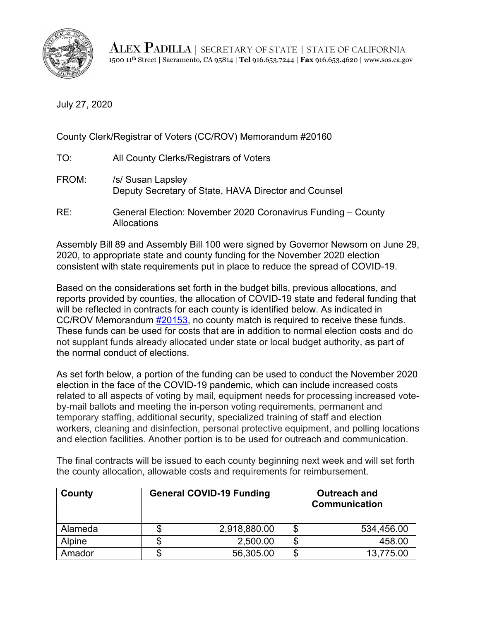

ALEX PADILLA | SECRETARY OF STATE | STATE OF CALIFORNIA 1500 11th Street | Sacramento, CA 95814 | **Tel** 916.653.7244 | **Fax** 916.653.4620 | www.sos.ca.gov

July 27, 2020

County Clerk/Registrar of Voters (CC/ROV) Memorandum #20160

| TO:   | All County Clerks/Registrars of Voters                                             |
|-------|------------------------------------------------------------------------------------|
| FROM: | /s/ Susan Lapsley<br>Deputy Secretary of State, HAVA Director and Counsel          |
| RE:   | General Election: November 2020 Coronavirus Funding - County<br><b>Allocations</b> |

Assembly Bill 89 and Assembly Bill 100 were signed by Governor Newsom on June 29, 2020, to appropriate state and county funding for the November 2020 election consistent with state requirements put in place to reduce the spread of COVID-19.

Based on the considerations set forth in the budget bills, previous allocations, and reports provided by counties, the allocation of COVID-19 state and federal funding that will be reflected in contracts for each county is identified below. As indicated in CC/ROV Memorandum [#20153,](https://elections.cdn.sos.ca.gov/ccrov/pdf/2020/july/20153sl.pdf) no county match is required to receive these funds. These funds can be used for costs that are in addition to normal election costs and do not supplant funds already allocated under state or local budget authority, as part of the normal conduct of elections.

As set forth below, a portion of the funding can be used to conduct the November 2020 election in the face of the COVID-19 pandemic, which can include increased costs related to all aspects of voting by mail, equipment needs for processing increased voteby-mail ballots and meeting the in-person voting requirements, permanent and temporary staffing, additional security, specialized training of staff and election workers, cleaning and disinfection, personal protective equipment, and polling locations and election facilities. Another portion is to be used for outreach and communication.

**County General COVID-19 Funding | Coutreach and <br> Communication** Alameda \$ 2,918,880.00 \$ 534,456.00 Alpine | \$ 2,500.00 | \$ 458.00 Amador \$ 56,305.00 \$ 13,775.00

The final contracts will be issued to each county beginning next week and will set forth the county allocation, allowable costs and requirements for reimbursement.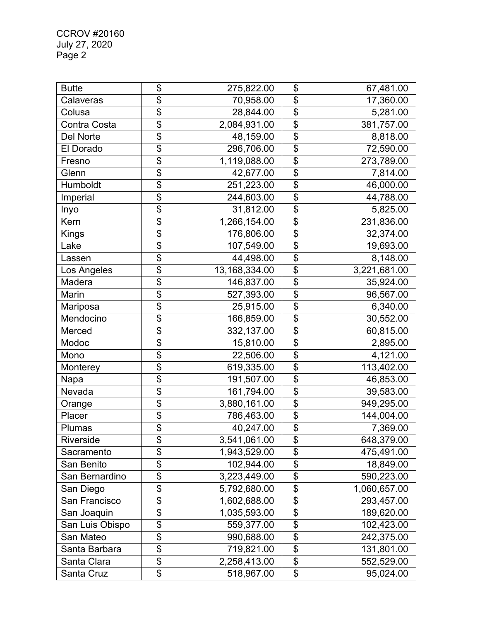CCROV #20160 July 27, 2020 Page 2

| <b>Butte</b>     | \$                        | 275,822.00    | \$                        | 67,481.00    |
|------------------|---------------------------|---------------|---------------------------|--------------|
| Calaveras        | \$                        | 70,958.00     | \$                        | 17,360.00    |
| Colusa           | \$                        | 28,844.00     | \$                        | 5,281.00     |
| Contra Costa     | \$                        | 2,084,931.00  | \$                        | 381,757.00   |
| <b>Del Norte</b> | \$                        | 48,159.00     | $\overline{\$}$           | 8,818.00     |
| El Dorado        | \$                        | 296,706.00    | \$                        | 72,590.00    |
| Fresno           | $\overline{\mathbf{S}}$   | 1,119,088.00  | $\overline{\$}$           | 273,789.00   |
| Glenn            | \$                        | 42,677.00     | \$                        | 7,814.00     |
| Humboldt         | \$                        | 251,223.00    | \$                        | 46,000.00    |
| Imperial         | \$                        | 244,603.00    | \$                        | 44,788.00    |
| Inyo             | \$                        | 31,812.00     | $\overline{\mathfrak{s}}$ | 5,825.00     |
| Kern             | \$                        | 1,266,154.00  | \$                        | 231,836.00   |
| Kings            | \$                        | 176,806.00    | \$                        | 32,374.00    |
| Lake             | \$                        | 107,549.00    | \$                        | 19,693.00    |
| Lassen           | \$                        | 44,498.00     | \$                        | 8,148.00     |
| Los Angeles      | \$                        | 13,168,334.00 | \$                        | 3,221,681.00 |
| Madera           | \$                        | 146,837.00    | $\overline{\mathfrak{s}}$ | 35,924.00    |
| Marin            | \$                        | 527,393.00    | \$                        | 96,567.00    |
| Mariposa         | $\overline{\mathfrak{s}}$ | 25,915.00     | \$                        | 6,340.00     |
| Mendocino        | \$                        | 166,859.00    | \$                        | 30,552.00    |
| Merced           | \$                        | 332,137.00    | \$                        | 60,815.00    |
| Modoc            | \$                        | 15,810.00     | \$                        | 2,895.00     |
| Mono             | \$                        | 22,506.00     | $\overline{\mathfrak{s}}$ | 4,121.00     |
| Monterey         | \$                        | 619,335.00    | \$                        | 113,402.00   |
| Napa             | \$                        | 191,507.00    | \$                        | 46,853.00    |
| Nevada           | \$                        | 161,794.00    | \$                        | 39,583.00    |
| Orange           | \$                        | 3,880,161.00  | \$                        | 949,295.00   |
| Placer           | \$                        | 786,463.00    | \$                        | 144,004.00   |
| Plumas           | \$                        | 40,247.00     | $\overline{\mathfrak{s}}$ | 7,369.00     |
| Riverside        | \$                        | 3,541,061.00  | \$                        | 648,379.00   |
| Sacramento       | \$                        | 1,943,529.00  | \$                        | 475,491.00   |
| San Benito       | \$                        | 102,944.00    | \$                        | 18,849.00    |
| San Bernardino   | \$                        | 3,223,449.00  | \$                        | 590,223.00   |
| San Diego        | \$                        | 5,792,680.00  | \$                        | 1,060,657.00 |
| San Francisco    | $\overline{\mathfrak{s}}$ | 1,602,688.00  | \$                        | 293,457.00   |
| San Joaquin      | \$                        | 1,035,593.00  | \$                        | 189,620.00   |
| San Luis Obispo  | \$                        | 559,377.00    | \$                        | 102,423.00   |
| San Mateo        | \$                        | 990,688.00    | \$                        | 242,375.00   |
| Santa Barbara    | \$                        | 719,821.00    | \$                        | 131,801.00   |
| Santa Clara      | \$                        | 2,258,413.00  | \$                        | 552,529.00   |
| Santa Cruz       | \$                        | 518,967.00    | $\overline{\mathfrak{s}}$ | 95,024.00    |